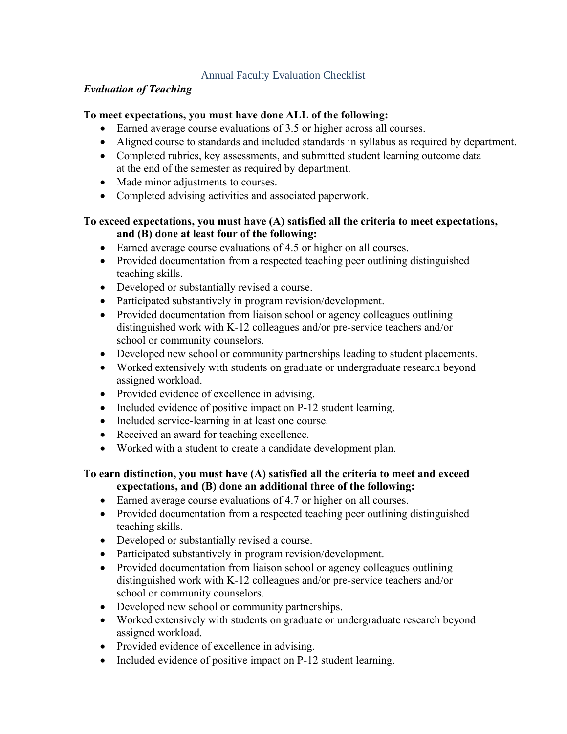## Annual Faculty Evaluation Checklist

#### *Evaluation of Teaching*

#### **To meet expectations, you must have done ALL of the following:**

- Earned average course evaluations of 3.5 or higher across all courses.
- Aligned course to standards and included standards in syllabus as required by department.
- Completed rubrics, key assessments, and submitted student learning outcome data at the end of the semester as required by department.
- Made minor adjustments to courses.
- Completed advising activities and associated paperwork.

# **To exceed expectations, you must have (A) satisfied all the criteria to meet expectations, and (B) done at least four of the following:**

- Earned average course evaluations of 4.5 or higher on all courses.
- Provided documentation from a respected teaching peer outlining distinguished teaching skills.
- Developed or substantially revised a course.
- Participated substantively in program revision/development.
- Provided documentation from liaison school or agency colleagues outlining distinguished work with K-12 colleagues and/or pre-service teachers and/or school or community counselors.
- Developed new school or community partnerships leading to student placements.
- Worked extensively with students on graduate or undergraduate research beyond assigned workload.
- Provided evidence of excellence in advising.
- Included evidence of positive impact on P-12 student learning.
- Included service-learning in at least one course.
- Received an award for teaching excellence.
- Worked with a student to create a candidate development plan.

## **To earn distinction, you must have (A) satisfied all the criteria to meet and exceed expectations, and (B) done an additional three of the following:**

- Earned average course evaluations of 4.7 or higher on all courses.
- Provided documentation from a respected teaching peer outlining distinguished teaching skills.
- Developed or substantially revised a course.
- Participated substantively in program revision/development.
- Provided documentation from liaison school or agency colleagues outlining distinguished work with K-12 colleagues and/or pre-service teachers and/or school or community counselors.
- Developed new school or community partnerships.
- Worked extensively with students on graduate or undergraduate research beyond assigned workload.
- Provided evidence of excellence in advising.
- Included evidence of positive impact on P-12 student learning.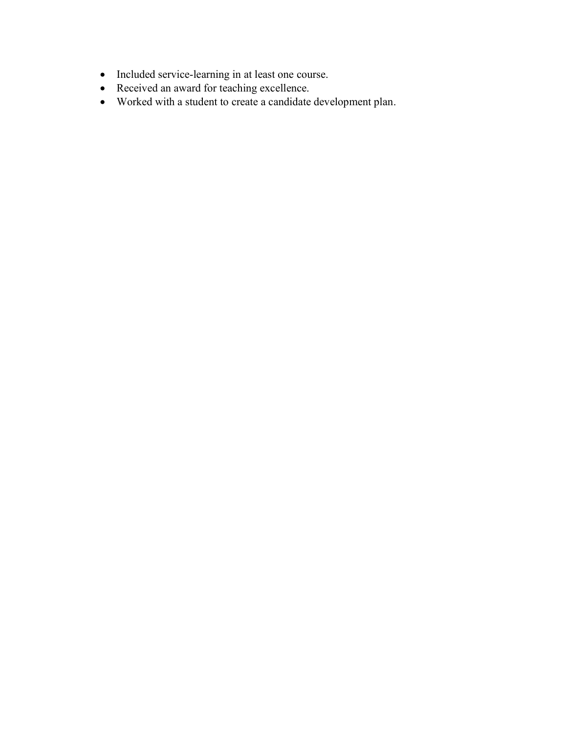- Included service-learning in at least one course.
- Received an award for teaching excellence.
- Worked with a student to create a candidate development plan.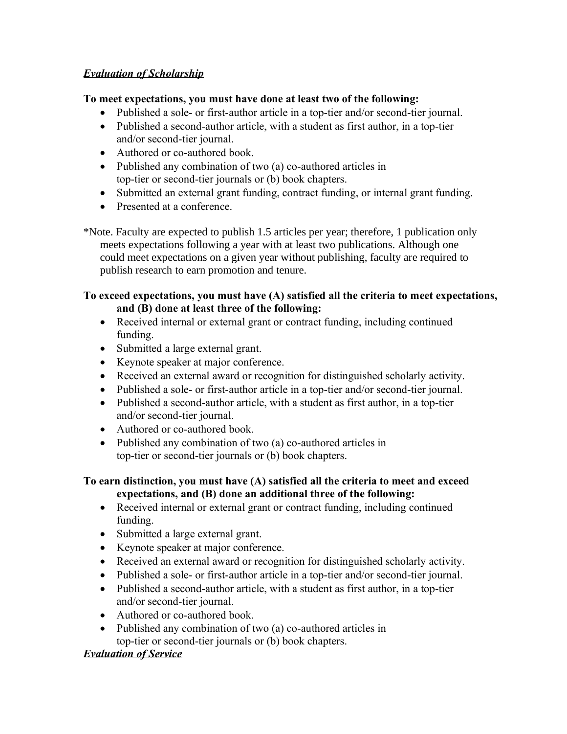# *Evaluation of Scholarship*

## **To meet expectations, you must have done at least two of the following:**

- Published a sole- or first-author article in a top-tier and/or second-tier journal.
- Published a second-author article, with a student as first author, in a top-tier and/or second-tier journal.
- Authored or co-authored book.
- Published any combination of two (a) co-authored articles in top-tier or second-tier journals or (b) book chapters.
- Submitted an external grant funding, contract funding, or internal grant funding.
- Presented at a conference.

\*Note. Faculty are expected to publish 1.5 articles per year; therefore, 1 publication only meets expectations following a year with at least two publications. Although one could meet expectations on a given year without publishing, faculty are required to publish research to earn promotion and tenure.

# **To exceed expectations, you must have (A) satisfied all the criteria to meet expectations, and (B) done at least three of the following:**

- Received internal or external grant or contract funding, including continued funding.
- Submitted a large external grant.
- Keynote speaker at major conference.
- Received an external award or recognition for distinguished scholarly activity.
- Published a sole- or first-author article in a top-tier and/or second-tier journal.
- Published a second-author article, with a student as first author, in a top-tier and/or second-tier journal.
- Authored or co-authored book.
- Published any combination of two (a) co-authored articles in top-tier or second-tier journals or (b) book chapters.

# **To earn distinction, you must have (A) satisfied all the criteria to meet and exceed expectations, and (B) done an additional three of the following:**

- Received internal or external grant or contract funding, including continued funding.
- Submitted a large external grant.
- Keynote speaker at major conference.
- Received an external award or recognition for distinguished scholarly activity.
- Published a sole- or first-author article in a top-tier and/or second-tier journal.
- Published a second-author article, with a student as first author, in a top-tier and/or second-tier journal.
- Authored or co-authored book.
- Published any combination of two (a) co-authored articles in top-tier or second-tier journals or (b) book chapters.

# *Evaluation of Service*